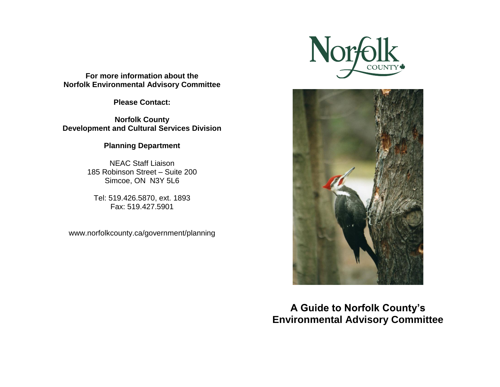**For more information about the Norfolk Environmental Advisory Committee** 

**Please Contact:** 

**Norfolk County Development and Cultural Services Division** 

**Planning Department** 

NEAC Staff Liaison 185 Robinson Street – Suite 200 Simcoe, ON N3Y 5L6

Tel: 519.426.5870, ext. 1893 Fax: 519.427.5901

www.norfolkcounty.ca/government/planning





**A Guide to Norfolk County's Environmental Advisory Committee**